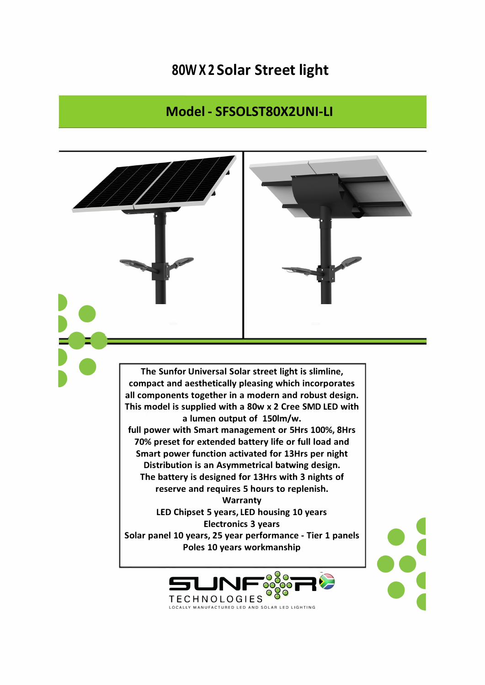## **80W X 2 Solar Street light**

## **Model - SFSOLST80X2UNI-LI**